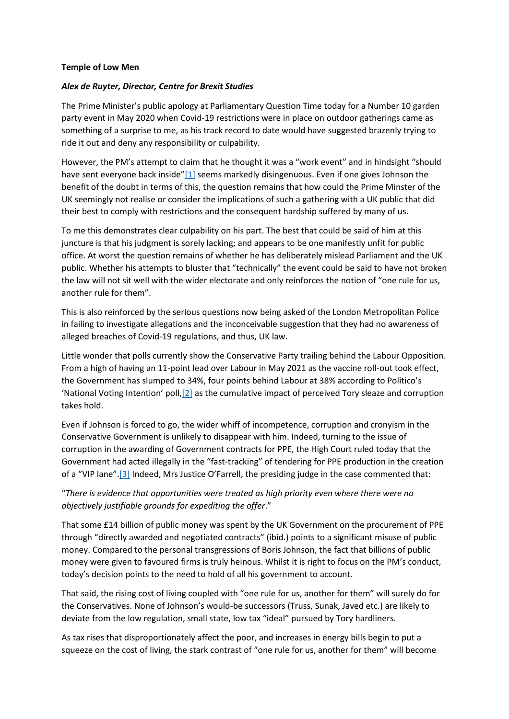## **Temple of Low Men**

## *Alex de Ruyter, Director, Centre for Brexit Studies*

The Prime Minister's public apology at Parliamentary Question Time today for a Number 10 garden party event in May 2020 when Covid-19 restrictions were in place on outdoor gatherings came as something of a surprise to me, as his track record to date would have suggested brazenly trying to ride it out and deny any responsibility or culpability.

However, the PM's attempt to claim that he thought it was a "work event" and in hindsight "should have sent everyone back inside"[\[1\]](https://centreforbrexitstudiesblog.wordpress.com/2022/01/12/temple-of-low-men/#_ftn1) seems markedly disingenuous. Even if one gives Johnson the benefit of the doubt in terms of this, the question remains that how could the Prime Minster of the UK seemingly not realise or consider the implications of such a gathering with a UK public that did their best to comply with restrictions and the consequent hardship suffered by many of us.

To me this demonstrates clear culpability on his part. The best that could be said of him at this juncture is that his judgment is sorely lacking; and appears to be one manifestly unfit for public office. At worst the question remains of whether he has deliberately mislead Parliament and the UK public. Whether his attempts to bluster that "technically" the event could be said to have not broken the law will not sit well with the wider electorate and only reinforces the notion of "one rule for us, another rule for them".

This is also reinforced by the serious questions now being asked of the London Metropolitan Police in failing to investigate allegations and the inconceivable suggestion that they had no awareness of alleged breaches of Covid-19 regulations, and thus, UK law.

Little wonder that polls currently show the Conservative Party trailing behind the Labour Opposition. From a high of having an 11-point lead over Labour in May 2021 as the vaccine roll-out took effect, the Government has slumped to 34%, four points behind Labour at 38% according to Politico's 'National Voting Intention' poll,[\[2\]](https://centreforbrexitstudiesblog.wordpress.com/2022/01/12/temple-of-low-men/#_ftn2) as the cumulative impact of perceived Tory sleaze and corruption takes hold.

Even if Johnson is forced to go, the wider whiff of incompetence, corruption and cronyism in the Conservative Government is unlikely to disappear with him. Indeed, turning to the issue of corruption in the awarding of Government contracts for PPE, the High Court ruled today that the Government had acted illegally in the "fast-tracking" of tendering for PPE production in the creation of a "VIP lane".[\[3\]](https://centreforbrexitstudiesblog.wordpress.com/2022/01/12/temple-of-low-men/#_ftn3) Indeed, Mrs Justice O'Farrell, the presiding judge in the case commented that:

## "*There is evidence that opportunities were treated as high priority even where there were no objectively justifiable grounds for expediting the offer*."

That some £14 billion of public money was spent by the UK Government on the procurement of PPE through "directly awarded and negotiated contracts" (ibid.) points to a significant misuse of public money. Compared to the personal transgressions of Boris Johnson, the fact that billions of public money were given to favoured firms is truly heinous. Whilst it is right to focus on the PM's conduct, today's decision points to the need to hold of all his government to account.

That said, the rising cost of living coupled with "one rule for us, another for them" will surely do for the Conservatives. None of Johnson's would-be successors (Truss, Sunak, Javed etc.) are likely to deviate from the low regulation, small state, low tax "ideal" pursued by Tory hardliners.

As tax rises that disproportionately affect the poor, and increases in energy bills begin to put a squeeze on the cost of living, the stark contrast of "one rule for us, another for them" will become